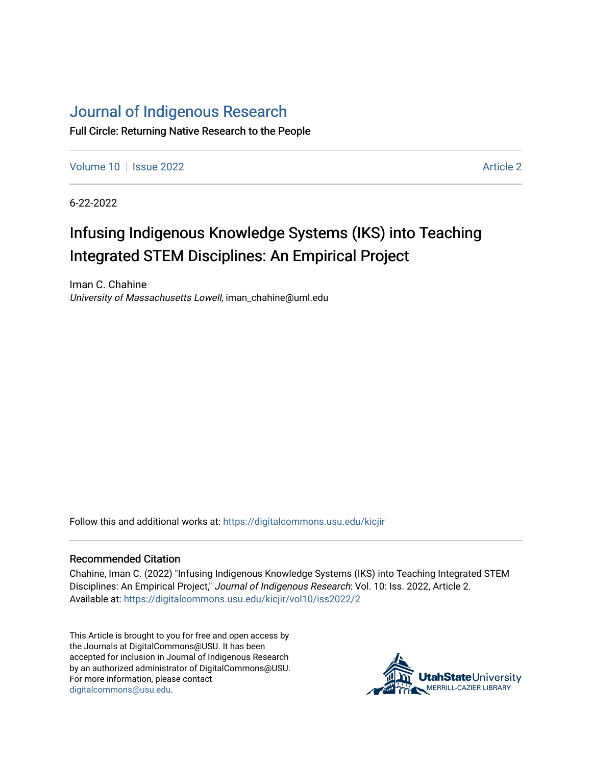# [Journal of Indigenous Research](https://digitalcommons.usu.edu/kicjir)

Full Circle: Returning Native Research to the People

[Volume 10](https://digitalcommons.usu.edu/kicjir/vol10) | [Issue 2022](https://digitalcommons.usu.edu/kicjir/vol10/iss2022) | Article 2022 | Article 2022 | Article 2022 | Article 2022

6-22-2022

# Infusing Indigenous Knowledge Systems (IKS) into Teaching Integrated STEM Disciplines: An Empirical Project

Iman C. Chahine University of Massachusetts Lowell, iman\_chahine@uml.edu

Follow this and additional works at: [https://digitalcommons.usu.edu/kicjir](https://digitalcommons.usu.edu/kicjir?utm_source=digitalcommons.usu.edu%2Fkicjir%2Fvol10%2Fiss2022%2F2&utm_medium=PDF&utm_campaign=PDFCoverPages)

#### Recommended Citation

Chahine, Iman C. (2022) "Infusing Indigenous Knowledge Systems (IKS) into Teaching Integrated STEM Disciplines: An Empirical Project," Journal of Indigenous Research: Vol. 10: Iss. 2022, Article 2. Available at: [https://digitalcommons.usu.edu/kicjir/vol10/iss2022/2](https://digitalcommons.usu.edu/kicjir/vol10/iss2022/2?utm_source=digitalcommons.usu.edu%2Fkicjir%2Fvol10%2Fiss2022%2F2&utm_medium=PDF&utm_campaign=PDFCoverPages) 

This Article is brought to you for free and open access by the Journals at DigitalCommons@USU. It has been accepted for inclusion in Journal of Indigenous Research by an authorized administrator of DigitalCommons@USU. For more information, please contact [digitalcommons@usu.edu.](mailto:digitalcommons@usu.edu)

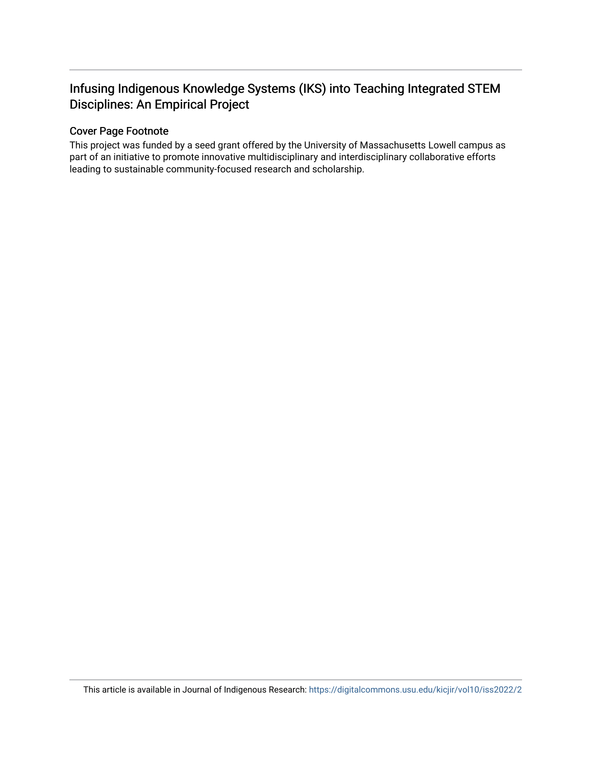# Infusing Indigenous Knowledge Systems (IKS) into Teaching Integrated STEM Disciplines: An Empirical Project

# Cover Page Footnote

This project was funded by a seed grant offered by the University of Massachusetts Lowell campus as part of an initiative to promote innovative multidisciplinary and interdisciplinary collaborative efforts leading to sustainable community-focused research and scholarship.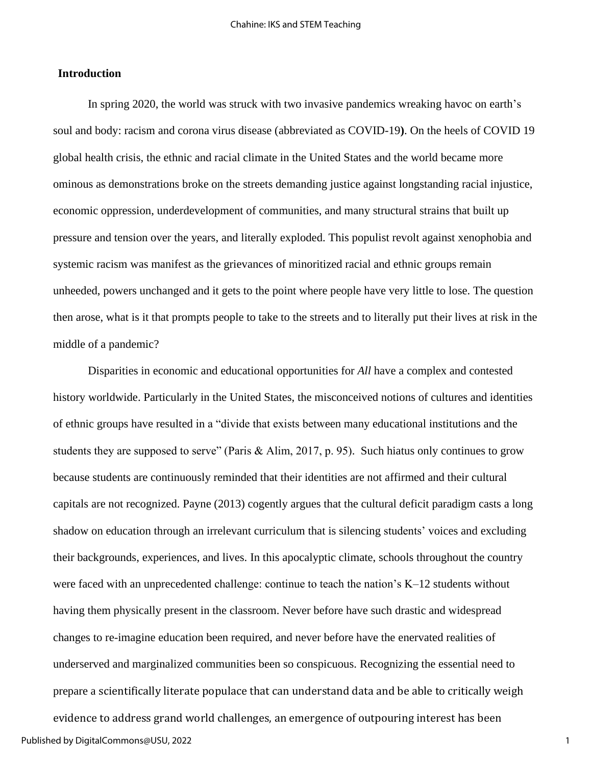## **Introduction**

In spring 2020, the world was struck with two invasive pandemics wreaking havoc on earth's soul and body: racism and corona virus disease (abbreviated as COVID-19**)**. On the heels of COVID 19 global health crisis, the ethnic and racial climate in the United States and the world became more ominous as demonstrations broke on the streets demanding justice against longstanding racial injustice, economic oppression, underdevelopment of communities, and many structural strains that built up pressure and tension over the years, and literally exploded. This populist revolt against xenophobia and systemic racism was manifest as the grievances of minoritized racial and ethnic groups remain unheeded, powers unchanged and it gets to the point where people have very little to lose. The question then arose, what is it that prompts people to take to the streets and to literally put their lives at risk in the middle of a pandemic?

Disparities in economic and educational opportunities for *All* have a complex and contested history worldwide. Particularly in the United States, the misconceived notions of cultures and identities of ethnic groups have resulted in a "divide that exists between many educational institutions and the students they are supposed to serve" (Paris & Alim, 2017, p. 95). Such hiatus only continues to grow because students are continuously reminded that their identities are not affirmed and their cultural capitals are not recognized. Payne (2013) cogently argues that the cultural deficit paradigm casts a long shadow on education through an irrelevant curriculum that is silencing students' voices and excluding their backgrounds, experiences, and lives. In this apocalyptic climate, schools throughout the country were faced with an unprecedented challenge: continue to teach the nation's K–12 students without having them physically present in the classroom. Never before have such drastic and widespread changes to re-imagine education been required, and never before have the enervated realities of underserved and marginalized communities been so conspicuous. Recognizing the essential need to prepare a scientifically literate populace that can understand data and be able to critically weigh

evidence to address grand world challenges, an emergence of outpouring interest has been Published by DigitalCommons@USU, 2022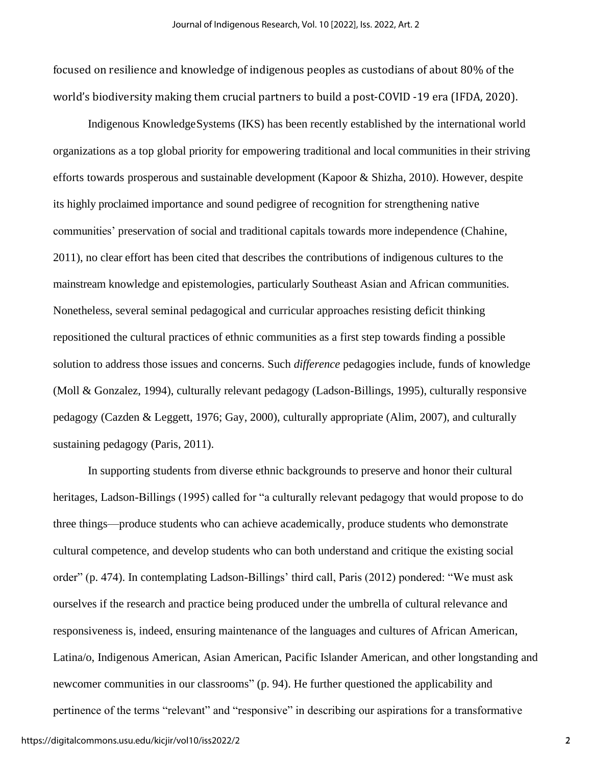focused on resilience and knowledge of indigenous peoples as custodians of about 80% of the world's biodiversity making them crucial partners to build a post-COVID -19 era (IFDA, 2020).

Indigenous KnowledgeSystems (IKS) has been recently established by the international world organizations as a top global priority for empowering traditional and local communities in their striving efforts towards prosperous and sustainable development (Kapoor & Shizha, 2010). However, despite its highly proclaimed importance and sound pedigree of recognition for strengthening native communities' preservation of social and traditional capitals towards more independence (Chahine, 2011), no clear effort has been cited that describes the contributions of indigenous cultures to the mainstream knowledge and epistemologies, particularly Southeast Asian and African communities. Nonetheless, several seminal pedagogical and curricular approaches resisting deficit thinking repositioned the cultural practices of ethnic communities as a first step towards finding a possible solution to address those issues and concerns. Such *difference* pedagogies include, funds of knowledge (Moll & Gonzalez, 1994), culturally relevant pedagogy (Ladson-Billings, 1995), culturally responsive pedagogy (Cazden & Leggett, 1976; Gay, 2000), culturally appropriate (Alim, 2007), and culturally sustaining pedagogy (Paris, 2011).

In supporting students from diverse ethnic backgrounds to preserve and honor their cultural heritages, Ladson-Billings (1995) called for "a culturally relevant pedagogy that would propose to do three things—produce students who can achieve academically, produce students who demonstrate cultural competence, and develop students who can both understand and critique the existing social order" (p. 474). In contemplating Ladson-Billings' third call, Paris (2012) pondered: "We must ask ourselves if the research and practice being produced under the umbrella of cultural relevance and responsiveness is, indeed, ensuring maintenance of the languages and cultures of African American, Latina/o, Indigenous American, Asian American, Pacific Islander American, and other longstanding and newcomer communities in our classrooms" (p. 94). He further questioned the applicability and pertinence of the terms "relevant" and "responsive" in describing our aspirations for a transformative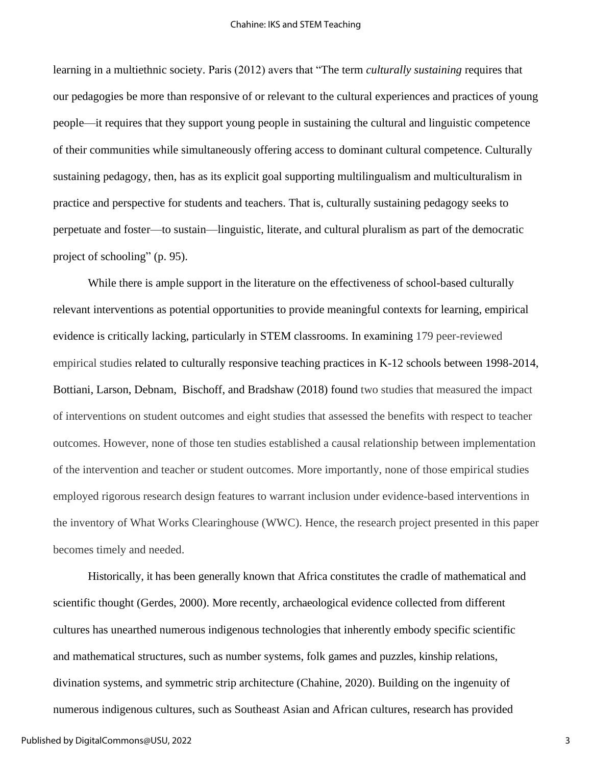learning in a multiethnic society. Paris (2012) avers that "The term *culturally sustaining* requires that our pedagogies be more than responsive of or relevant to the cultural experiences and practices of young people—it requires that they support young people in sustaining the cultural and linguistic competence of their communities while simultaneously offering access to dominant cultural competence. Culturally sustaining pedagogy, then, has as its explicit goal supporting multilingualism and multiculturalism in practice and perspective for students and teachers. That is, culturally sustaining pedagogy seeks to perpetuate and foster—to sustain—linguistic, literate, and cultural pluralism as part of the democratic project of schooling" (p. 95).

While there is ample support in the literature on the effectiveness of school-based culturally relevant interventions as potential opportunities to provide meaningful contexts for learning, empirical evidence is critically lacking, particularly in STEM classrooms. In examining 179 peer-reviewed empirical studies related to culturally responsive teaching practices in K-12 schools between 1998-2014, [Bottiani,](https://journals.sagepub.com/doi/full/10.1177/0022487117722553) [Larson,](https://journals.sagepub.com/doi/full/10.1177/0022487117722553) [Debnam,](https://journals.sagepub.com/doi/full/10.1177/0022487117722553) [Bischoff,](https://journals.sagepub.com/doi/full/10.1177/0022487117722553) and [Bradshaw](https://journals.sagepub.com/doi/full/10.1177/0022487117722553) (2018) found two studies that measured the impact of interventions on student outcomes and eight studies that assessed the benefits with respect to teacher outcomes. However, none of those ten studies established a causal relationship between implementation of the intervention and teacher or student outcomes. More importantly, none of those empirical studies employed rigorous research design features to warrant inclusion under evidence-based interventions in the inventory of What Works Clearinghouse (WWC). Hence, the research project presented in this paper becomes timely and needed.

Historically, it has been generally known that Africa constitutes the cradle of mathematical and scientific thought (Gerdes, 2000). More recently, archaeological evidence collected from different cultures has unearthed numerous indigenous technologies that inherently embody specific scientific and mathematical structures, such as number systems, folk games and puzzles, kinship relations, divination systems, and symmetric strip architecture (Chahine, 2020). Building on the ingenuity of numerous indigenous cultures, such as Southeast Asian and African cultures, research has provided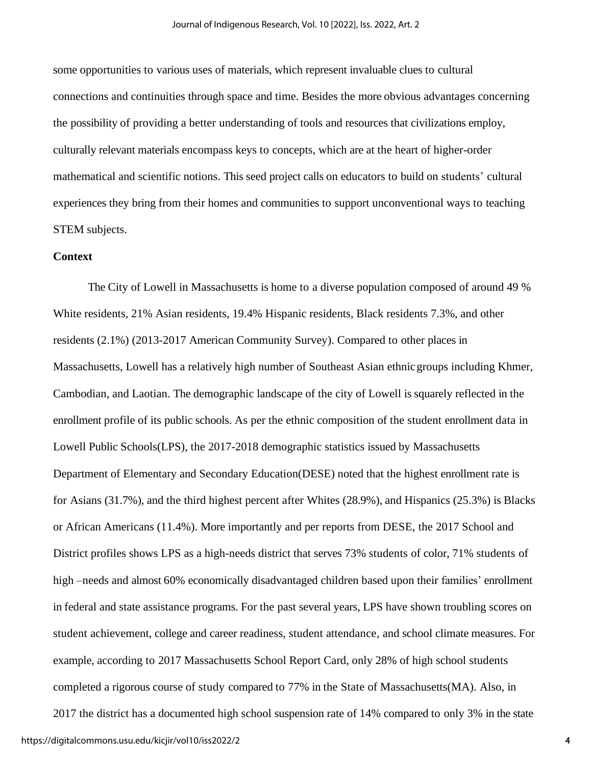some opportunities to various uses of materials, which represent invaluable clues to cultural connections and continuities through space and time. Besides the more obvious advantages concerning the possibility of providing a better understanding of tools and resources that civilizations employ, culturally relevant materials encompass keys to concepts, which are at the heart of higher-order mathematical and scientific notions. This seed project calls on educators to build on students' cultural experiences they bring from their homes and communities to support unconventional ways to teaching STEM subjects.

# **Context**

The City of Lowell in Massachusetts is home to a diverse population composed of around 49 % White residents, 21% Asian residents, 19.4% Hispanic residents, Black residents 7.3%, and other residents (2.1%) (2013-2017 American Community Survey). Compared to other places in Massachusetts, Lowell has a relatively high number of Southeast Asian ethnicgroups including Khmer, Cambodian, and Laotian. The demographic landscape of the city of Lowell is squarely reflected in the enrollment profile of its public schools. As per the ethnic composition of the student enrollment data in Lowell Public Schools(LPS), the 2017-2018 demographic statistics issued by Massachusetts Department of Elementary and Secondary Education(DESE) noted that the highest enrollment rate is for Asians (31.7%), and the third highest percent after Whites (28.9%), and Hispanics (25.3%) is Blacks or African Americans (11.4%). More importantly and per reports from DESE, the 2017 School and District profiles shows LPS as a high-needs district that serves 73% students of color, 71% students of high –needs and almost 60% economically disadvantaged children based upon their families' enrollment in federal and state assistance programs. For the past several years, LPS have shown troubling scores on student achievement, college and career readiness, student attendance, and school climate measures. For example, according to 2017 Massachusetts School Report Card, only 28% of high school students completed a rigorous course of study compared to 77% in the State of Massachusetts(MA). Also, in

2017 the district has a documented high school suspension rate of 14% compared to only 3% in the state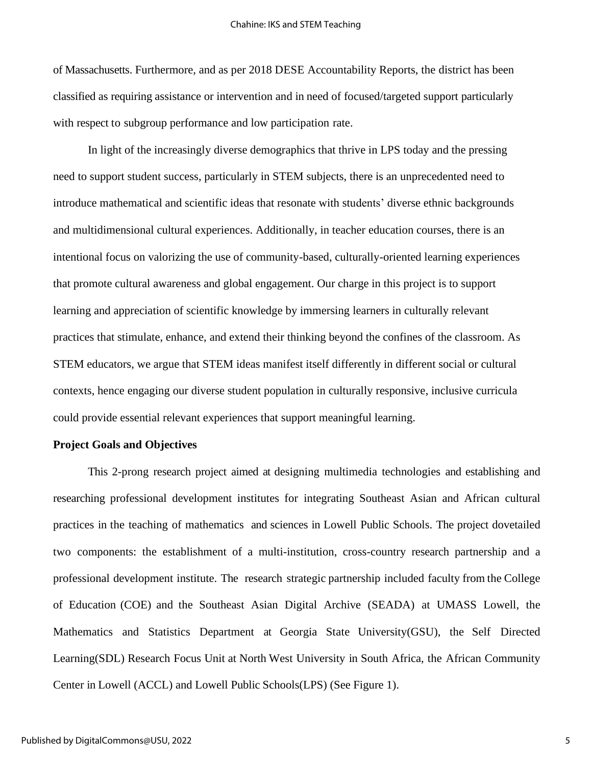of Massachusetts. Furthermore, and as per 2018 DESE Accountability Reports, the district has been classified as requiring assistance or intervention and in need of focused/targeted support particularly with respect to subgroup performance and low participation rate.

In light of the increasingly diverse demographics that thrive in LPS today and the pressing need to support student success, particularly in STEM subjects, there is an unprecedented need to introduce mathematical and scientific ideas that resonate with students' diverse ethnic backgrounds and multidimensional cultural experiences. Additionally, in teacher education courses, there is an intentional focus on valorizing the use of community-based, culturally-oriented learning experiences that promote cultural awareness and global engagement. Our charge in this project is to support learning and appreciation of scientific knowledge by immersing learners in culturally relevant practices that stimulate, enhance, and extend their thinking beyond the confines of the classroom. As STEM educators, we argue that STEM ideas manifest itself differently in different social or cultural contexts, hence engaging our diverse student population in culturally responsive, inclusive curricula could provide essential relevant experiences that support meaningful learning.

## **Project Goals and Objectives**

This 2-prong research project aimed at designing multimedia technologies and establishing and researching professional development institutes for integrating Southeast Asian and African cultural practices in the teaching of mathematics and sciences in Lowell Public Schools. The project dovetailed two components: the establishment of a multi-institution, cross-country research partnership and a professional development institute. The research strategic partnership included faculty from the College of Education (COE) and the Southeast Asian Digital Archive (SEADA) at UMASS Lowell, the Mathematics and Statistics Department at Georgia State University(GSU), the Self Directed Learning(SDL) Research Focus Unit at North West University in South Africa, the African Community Center in Lowell (ACCL) and Lowell Public Schools(LPS) (See Figure 1).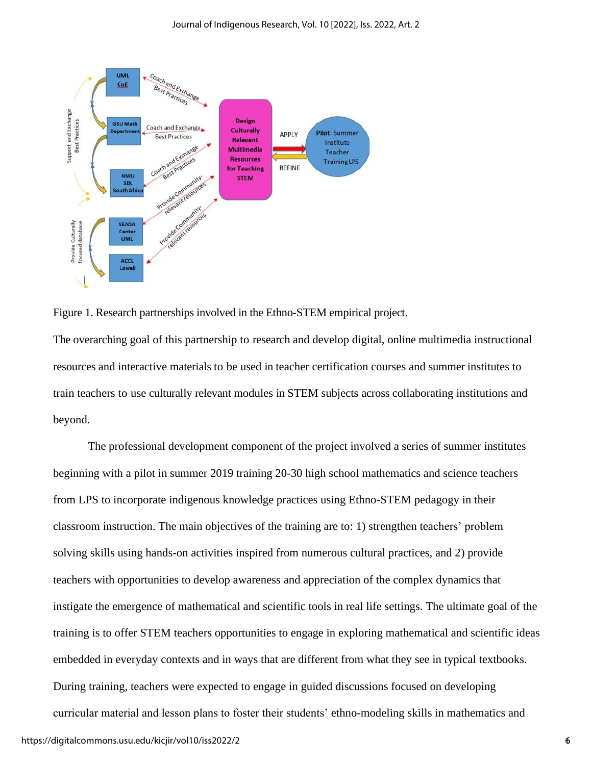



The overarching goal of this partnership to research and develop digital, online multimedia instructional resources and interactive materials to be used in teacher certification courses and summer institutes to train teachers to use culturally relevant modules in STEM subjects across collaborating institutions and beyond.

The professional development component of the project involved a series of summer institutes beginning with a pilot in summer 2019 training 20-30 high school mathematics and science teachers from LPS to incorporate indigenous knowledge practices using Ethno-STEM pedagogy in their classroom instruction. The main objectives of the training are to: 1) strengthen teachers' problem solving skills using hands-on activities inspired from numerous cultural practices, and 2) provide teachers with opportunities to develop awareness and appreciation of the complex dynamics that instigate the emergence of mathematical and scientific tools in real life settings. The ultimate goal of the training is to offer STEM teachers opportunities to engage in exploring mathematical and scientific ideas embedded in everyday contexts and in ways that are different from what they see in typical textbooks. During training, teachers were expected to engage in guided discussions focused on developing curricular material and lesson plans to foster their students' ethno-modeling skills in mathematics and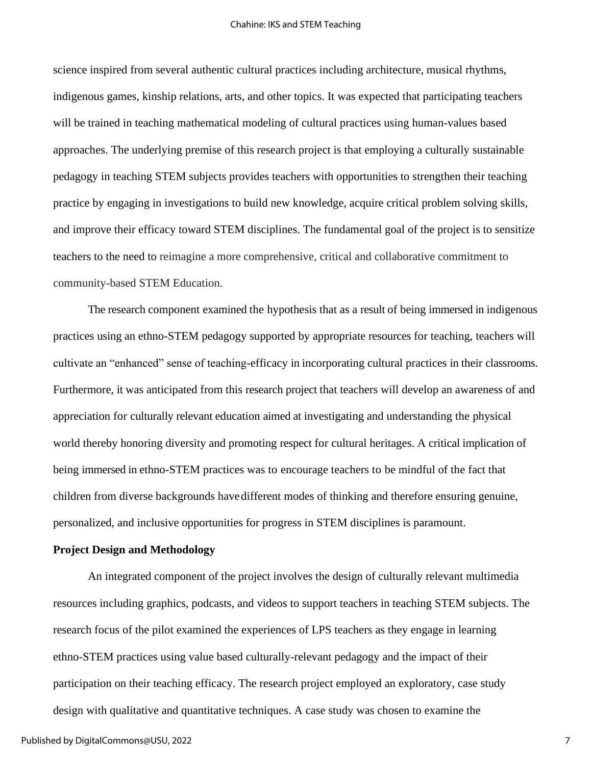science inspired from several authentic cultural practices including architecture, musical rhythms, indigenous games, kinship relations, arts, and other topics. It was expected that participating teachers will be trained in teaching mathematical modeling of cultural practices using human-values based approaches. The underlying premise of this research project is that employing a culturally sustainable pedagogy in teaching STEM subjects provides teachers with opportunities to strengthen their teaching practice by engaging in investigations to build new knowledge, acquire critical problem solving skills, and improve their efficacy toward STEM disciplines. The fundamental goal of the project is to sensitize teachers to the need to reimagine a more comprehensive, critical and collaborative commitment to community-based STEM Education.

The research component examined the hypothesis that as a result of being immersed in indigenous practices using an ethno-STEM pedagogy supported by appropriate resources for teaching, teachers will cultivate an "enhanced" sense of teaching-efficacy in incorporating cultural practices in their classrooms. Furthermore, it was anticipated from this research project that teachers will develop an awareness of and appreciation for culturally relevant education aimed at investigating and understanding the physical world thereby honoring diversity and promoting respect for cultural heritages. A critical implication of being immersed in ethno-STEM practices was to encourage teachers to be mindful of the fact that children from diverse backgrounds havedifferent modes of thinking and therefore ensuring genuine, personalized, and inclusive opportunities for progress in STEM disciplines is paramount.

## **Project Design and Methodology**

An integrated component of the project involves the design of culturally relevant multimedia resources including graphics, podcasts, and videos to support teachers in teaching STEM subjects. The research focus of the pilot examined the experiences of LPS teachers as they engage in learning ethno-STEM practices using value based culturally-relevant pedagogy and the impact of their participation on their teaching efficacy. The research project employed an exploratory, case study design with qualitative and quantitative techniques. A case study was chosen to examine the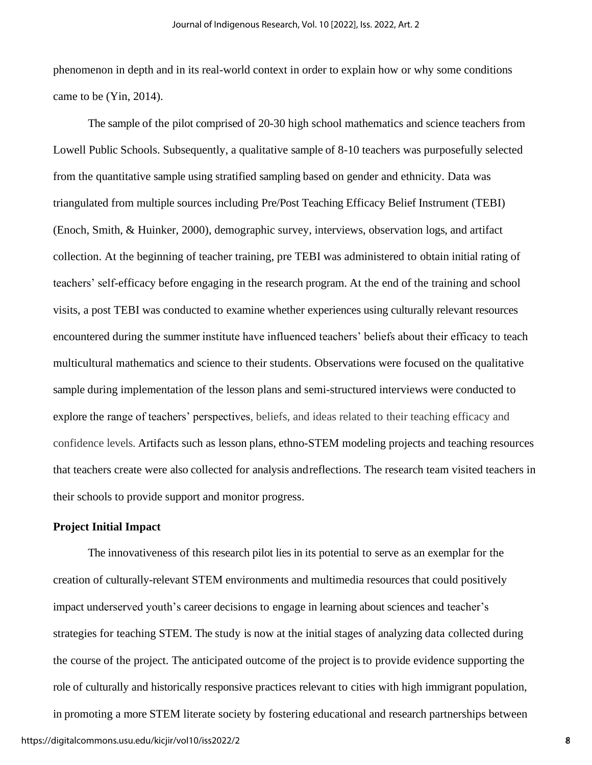phenomenon in depth and in its real-world context in order to explain how or why some conditions came to be (Yin, 2014).

The sample of the pilot comprised of 20-30 high school mathematics and science teachers from Lowell Public Schools. Subsequently, a qualitative sample of 8-10 teachers was purposefully selected from the quantitative sample using stratified sampling based on gender and ethnicity. Data was triangulated from multiple sources including Pre/Post Teaching Efficacy Belief Instrument (TEBI) (Enoch, Smith, & Huinker, 2000), demographic survey, interviews, observation logs, and artifact collection. At the beginning of teacher training, pre TEBI was administered to obtain initial rating of teachers' self-efficacy before engaging in the research program. At the end of the training and school visits, a post TEBI was conducted to examine whether experiences using culturally relevant resources encountered during the summer institute have influenced teachers' beliefs about their efficacy to teach multicultural mathematics and science to their students. Observations were focused on the qualitative sample during implementation of the lesson plans and semi-structured interviews were conducted to explore the range of teachers' perspectives, beliefs, and ideas related to their teaching efficacy and confidence levels. Artifacts such as lesson plans, ethno-STEM modeling projects and teaching resources that teachers create were also collected for analysis andreflections. The research team visited teachers in their schools to provide support and monitor progress.

## **Project Initial Impact**

The innovativeness of this research pilot lies in its potential to serve as an exemplar for the creation of culturally-relevant STEM environments and multimedia resources that could positively impact underserved youth's career decisions to engage in learning about sciences and teacher's strategies for teaching STEM. The study is now at the initial stages of analyzing data collected during the course of the project. The anticipated outcome of the project is to provide evidence supporting the role of culturally and historically responsive practices relevant to cities with high immigrant population, in promoting a more STEM literate society by fostering educational and research partnerships between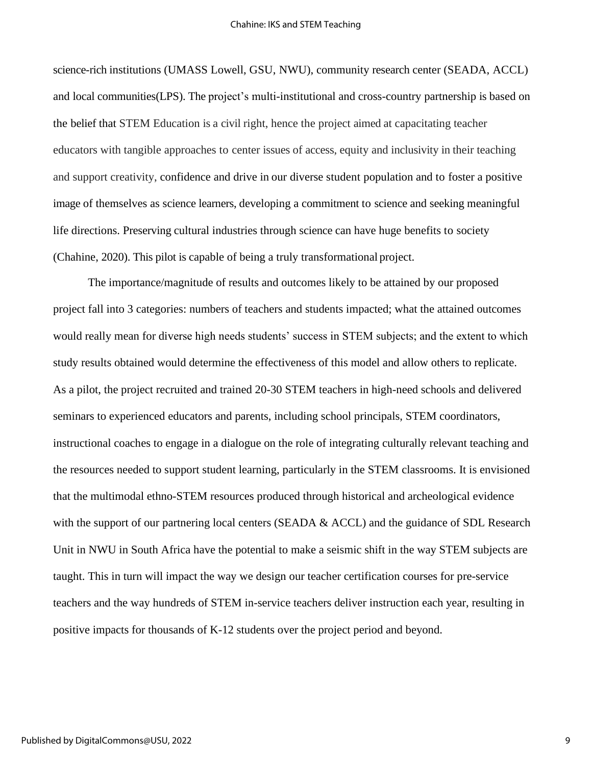science-rich institutions (UMASS Lowell, GSU, NWU), community research center (SEADA, ACCL) and local communities(LPS). The project's multi-institutional and cross-country partnership is based on the belief that STEM Education is a civil right, hence the project aimed at capacitating teacher educators with tangible approaches to center issues of access, equity and inclusivity in their teaching and support creativity, confidence and drive in our diverse student population and to foster a positive image of themselves as science learners, developing a commitment to science and seeking meaningful life directions. Preserving cultural industries through science can have huge benefits to society (Chahine, 2020). This pilot is capable of being a truly transformational project.

The importance/magnitude of results and outcomes likely to be attained by our proposed project fall into 3 categories: numbers of teachers and students impacted; what the attained outcomes would really mean for diverse high needs students' success in STEM subjects; and the extent to which study results obtained would determine the effectiveness of this model and allow others to replicate. As a pilot, the project recruited and trained 20-30 STEM teachers in high-need schools and delivered seminars to experienced educators and parents, including school principals, STEM coordinators, instructional coaches to engage in a dialogue on the role of integrating culturally relevant teaching and the resources needed to support student learning, particularly in the STEM classrooms. It is envisioned that the multimodal ethno-STEM resources produced through historical and archeological evidence with the support of our partnering local centers (SEADA & ACCL) and the guidance of SDL Research Unit in NWU in South Africa have the potential to make a seismic shift in the way STEM subjects are taught. This in turn will impact the way we design our teacher certification courses for pre-service teachers and the way hundreds of STEM in-service teachers deliver instruction each year, resulting in positive impacts for thousands of K-12 students over the project period and beyond.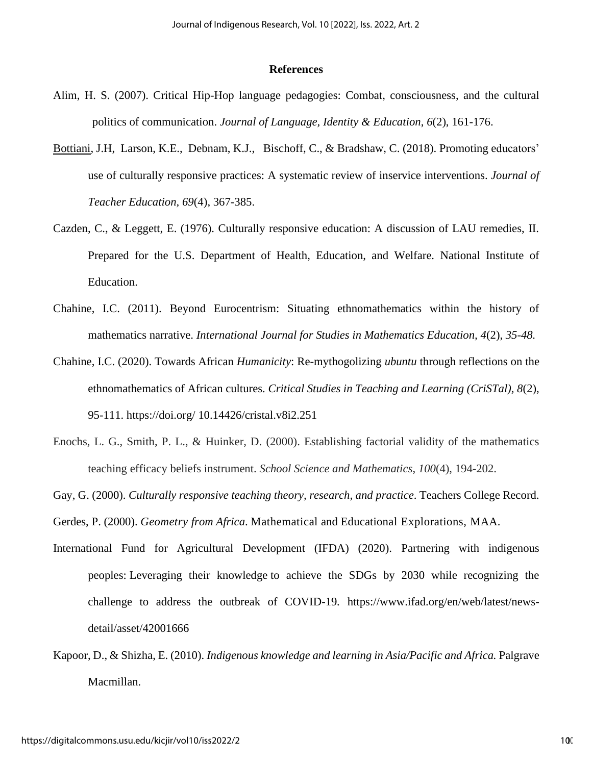#### **References**

- Alim, H. S. (2007). Critical Hip-Hop language pedagogies: Combat, consciousness, and the cultural politics of communication. *Journal of Language, Identity & Education*, *6*(2), 161-176.
- [Bottiani,](https://journals.sagepub.com/doi/full/10.1177/0022487117722553) J.H, [Larson,](https://journals.sagepub.com/doi/full/10.1177/0022487117722553) K.E., [Debnam,](https://journals.sagepub.com/doi/full/10.1177/0022487117722553) K.J., [Bischoff,](https://journals.sagepub.com/doi/full/10.1177/0022487117722553) C., & [Bradshaw,](https://journals.sagepub.com/doi/full/10.1177/0022487117722553) C. (2018). Promoting educators' use of culturally responsive practices: A systematic review of inservice interventions. *Journal of Teacher Education, 69*(4), 367-385.
- Cazden, C., & Leggett, E. (1976). Culturally responsive education: A discussion of LAU remedies, II. Prepared for the U.S. Department of Health, Education, and Welfare. National Institute of Education.
- Chahine, I.C. (2011). Beyond Eurocentrism: Situating ethnomathematics within the history of mathematics narrative. *International Journal for Studies in Mathematics Education, 4*(2), *35-48.*
- Chahine, I.C. (2020). Towards African *Humanicity*: Re-mythogolizing *ubuntu* through reflections on the ethnomathematics of African cultures. *Critical Studies in Teaching and Learning (CriSTal), 8*(2), 95-111. https://doi.org/ 10.14426/cristal.v8i2.251
- Enochs, L. G., Smith, P. L., & Huinker, D. (2000). Establishing factorial validity of the mathematics teaching efficacy beliefs instrument. *School Science and Mathematics*, *100*(4), 194-202.

Gay, G. (2000). *Culturally responsive teaching theory, research, and practice*. Teachers College Record.

Gerdes, P. (2000). *Geometry from Africa*. Mathematical and Educational Explorations, MAA.

- International Fund for Agricultural Development (IFDA) (2020). Partnering with indigenous peoples: Leveraging their knowledge to achieve the SDGs by 2030 while recognizing the challenge to address the outbreak of COVID-19*.* https://www.ifad.org/en/web/latest/newsdetail/asset/42001666
- Kapoor, D., & Shizha, E. (2010). *Indigenous knowledge and learning in Asia/Pacific and Africa.* Palgrave Macmillan.